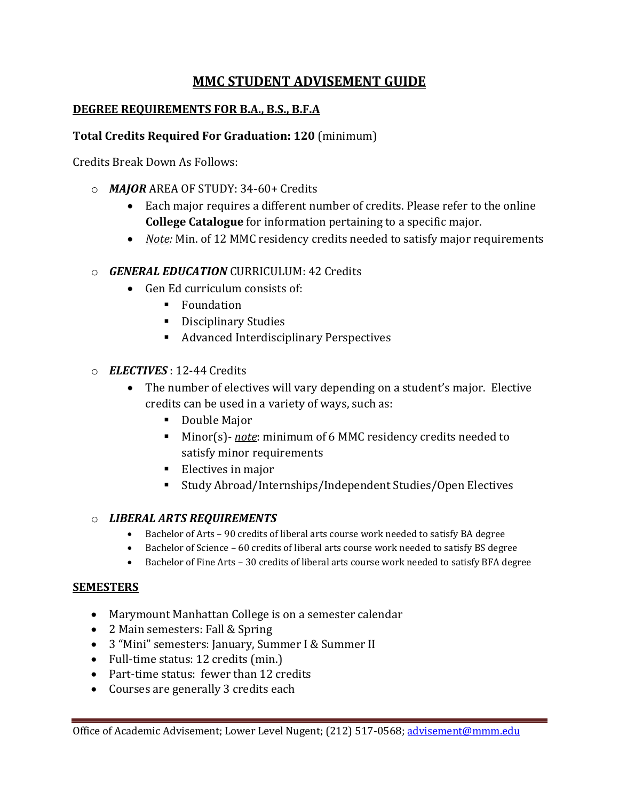# **MMC STUDENT ADVISEMENT GUIDE**

### **DEGREE REQUIREMENTS FOR B.A., B.S., B.F.A**

#### **Total Credits Required For Graduation: 120** (minimum)

Credits Break Down As Follows:

- o *MAJOR* AREA OF STUDY: 34-60+ Credits
	- Each major requires a different number of credits. Please refer to the online **College Catalogue** for information pertaining to a specific major.
	- *Note:* Min. of 12 MMC residency credits needed to satisfy major requirements
- o *GENERAL EDUCATION* CURRICULUM: 42 Credits
	- Gen Ed curriculum consists of:
		- **Foundation**
		- **Disciplinary Studies**
		- Advanced Interdisciplinary Perspectives
- o *ELECTIVES* : 12-44 Credits
	- The number of electives will vary depending on a student's major. Elective credits can be used in a variety of ways, such as:
		- Double Major
		- Minor(s)- *note*: minimum of 6 MMC residency credits needed to satisfy minor requirements
		- $\blacksquare$  Electives in major
		- Study Abroad/Internships/Independent Studies/Open Electives

#### o *LIBERAL ARTS REQUIREMENTS*

- Bachelor of Arts 90 credits of liberal arts course work needed to satisfy BA degree
- Bachelor of Science 60 credits of liberal arts course work needed to satisfy BS degree
- Bachelor of Fine Arts 30 credits of liberal arts course work needed to satisfy BFA degree

#### **SEMESTERS**

- Marymount Manhattan College is on a semester calendar
- 2 Main semesters: Fall & Spring
- 3 "Mini" semesters: January, Summer I & Summer II
- Full-time status: 12 credits (min.)
- Part-time status: fewer than 12 credits
- Courses are generally 3 credits each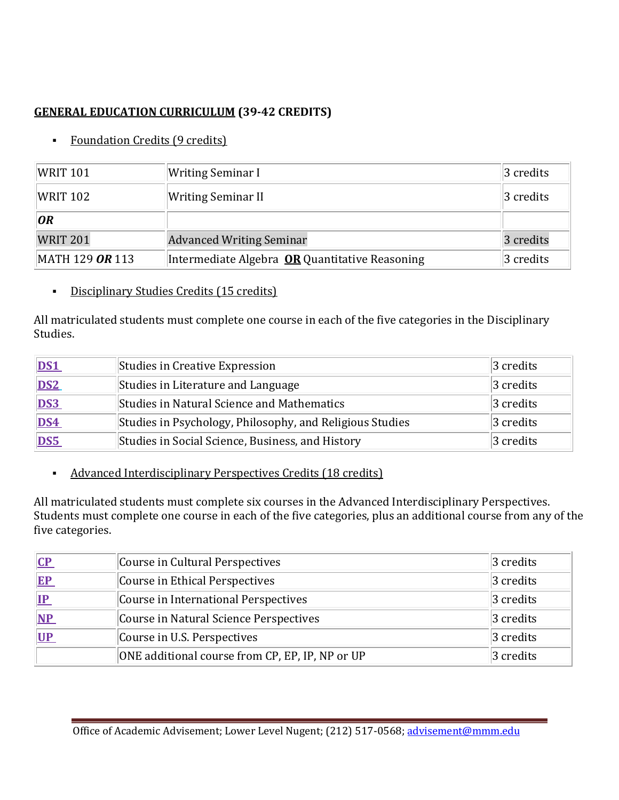## **GENERAL EDUCATION CURRICULUM (39-42 CREDITS)**

• Foundation Credits (9 credits)

| WRIT 101        | Writing Seminar I                                     | $ 3 \text{ credits} $ |
|-----------------|-------------------------------------------------------|-----------------------|
| $W$ RIT 102     | Writing Seminar II                                    | 3 credits             |
| OR              |                                                       |                       |
| <b>WRIT 201</b> | <b>Advanced Writing Seminar</b>                       | 3 credits             |
| MATH 129 OR 113 | Intermediate Algebra <b>OR</b> Quantitative Reasoning | $3$ credits           |

Disciplinary Studies Credits (15 credits)

All matriculated students must complete one course in each of the five categories in the Disciplinary Studies.

| DS1             | Studies in Creative Expression                           | $ 3 \text{ credits} $ |
|-----------------|----------------------------------------------------------|-----------------------|
| DS <sub>2</sub> | Studies in Literature and Language                       | $ 3 \text{ credits} $ |
| DS3             | Studies in Natural Science and Mathematics               | $ 3 \right $ credits  |
| <b>DS4</b>      | Studies in Psychology, Philosophy, and Religious Studies | $ 3 \text{ credits} $ |
| DS5             | Studies in Social Science, Business, and History         | 3 credits             |

Advanced Interdisciplinary Perspectives Credits (18 credits)

All matriculated students must complete six courses in the Advanced Interdisciplinary Perspectives. Students must complete one course in each of the five categories, plus an additional course from any of the five categories.

| CP    | Course in Cultural Perspectives                 | $ 3 \text{ credits} $ |
|-------|-------------------------------------------------|-----------------------|
| $E$ P | Course in Ethical Perspectives                  | $ 3 \text{ credits} $ |
| IP    | Course in International Perspectives            | $ 3 \text{ credits} $ |
| NP    | Course in Natural Science Perspectives          | $ 3 \text{ credits} $ |
| UP    | Course in U.S. Perspectives                     | $ 3 \text{ credits} $ |
|       | ONE additional course from CP, EP, IP, NP or UP | 3 credits             |